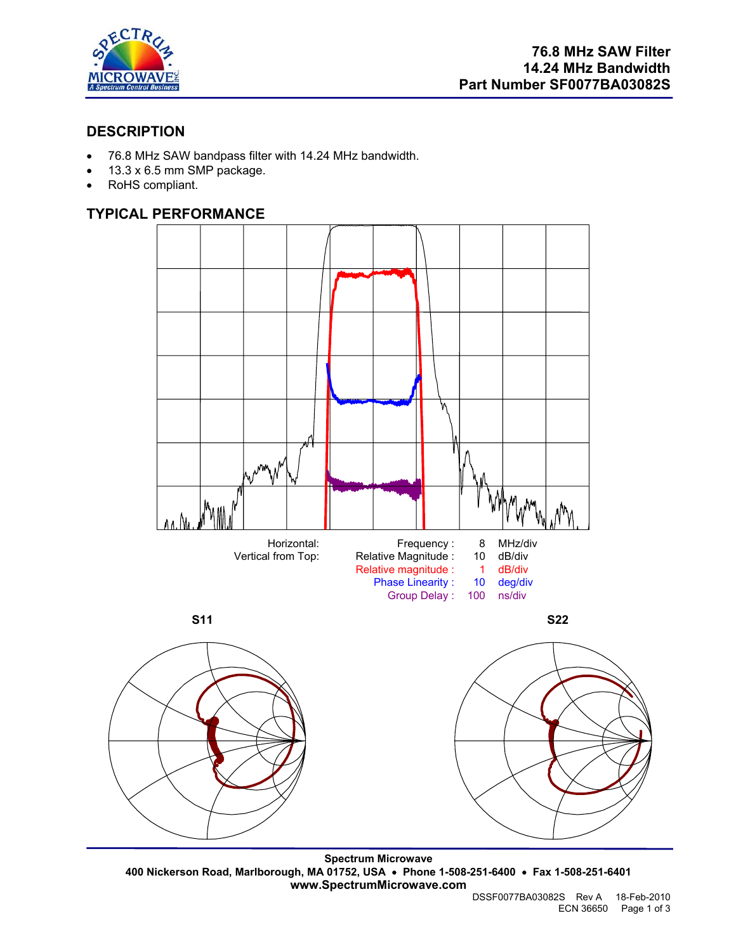

# **DESCRIPTION**

- 76.8 MHz SAW bandpass filter with 14.24 MHz bandwidth.
- 13.3 x 6.5 mm SMP package.
- RoHS compliant.

# **TYPICAL PERFORMANCE**



**Spectrum Microwave 400 Nickerson Road, Marlborough, MA 01752, USA** • **Phone 1-508-251-6400** • **Fax 1-508-251-6401 www.SpectrumMicrowave.com**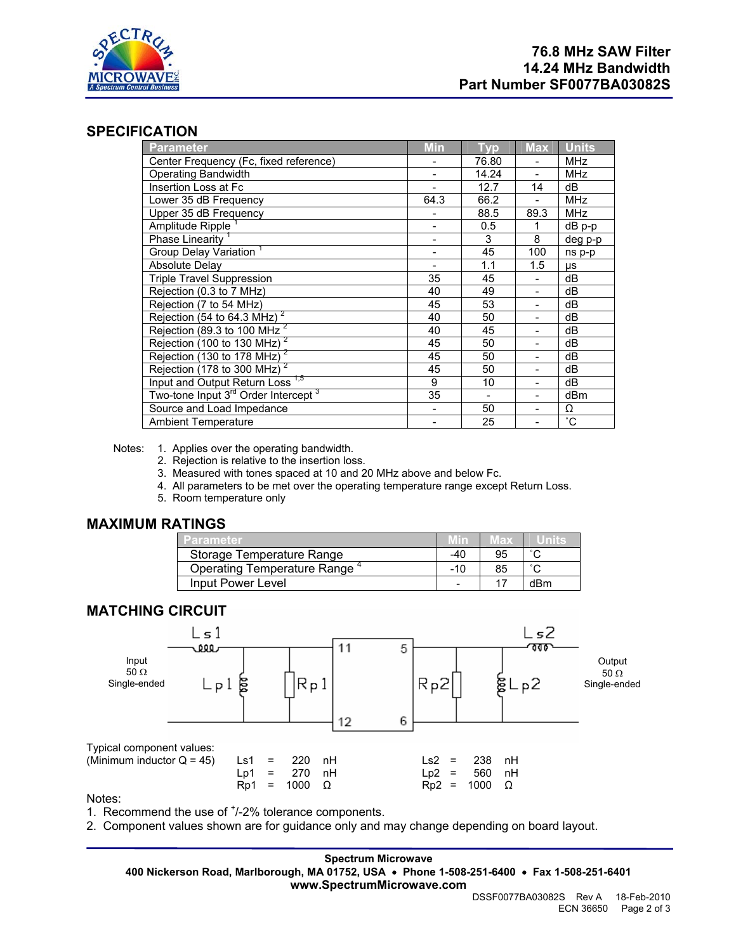

## **SPECIFICATION**

| Parameter                                                   | <b>Min</b>               | Typ                      | <b>Max</b>     | <b>Units</b> |
|-------------------------------------------------------------|--------------------------|--------------------------|----------------|--------------|
| Center Frequency (Fc, fixed reference)                      |                          | 76.80                    |                | <b>MHz</b>   |
| <b>Operating Bandwidth</b>                                  |                          | 14.24                    |                | <b>MHz</b>   |
| Insertion Loss at Fc                                        | $\overline{\phantom{0}}$ | 12.7                     | 14             | dB           |
| Lower 35 dB Frequency                                       | 64.3                     | 66.2                     |                | <b>MHz</b>   |
| Upper 35 dB Frequency                                       |                          | 88.5                     | 89.3           | <b>MHz</b>   |
| Amplitude Ripple                                            | $\overline{\phantom{a}}$ | 0.5                      | 1              | dB p-p       |
| Phase Linearity <sup>1</sup>                                |                          | 3                        | 8              | deg p-p      |
| Group Delay Variation <sup>1</sup>                          | -                        | 45                       | 100            | ns p-p       |
| <b>Absolute Delay</b>                                       |                          | 1.1                      | 1.5            | μs           |
| <b>Triple Travel Suppression</b>                            | 35                       | 45                       |                | dB           |
| Rejection (0.3 to 7 MHz)                                    | 40                       | 49                       | $\overline{a}$ | dB           |
| Rejection (7 to 54 MHz)                                     | 45                       | 53                       |                | dВ           |
| Rejection ( $\overline{54}$ to 64.3 MHz) <sup>2</sup>       | 40                       | 50                       |                | dB           |
| Rejection ( $\overline{89.3}$ to 100 MHz <sup>2</sup>       | 40                       | 45                       | -              | dB           |
| Rejection (100 to 130 MHz) $^2$                             | 45                       | 50                       |                | dВ           |
| Rejection (130 to 178 MHz) <sup>2</sup>                     | 45                       | 50                       | -              | dB           |
| Rejection $(178 \text{ to } 300 \text{ MHz})^2$             | 45                       | 50                       | -              | dB           |
| Input and Output Return Loss <sup>1,5</sup>                 | 9                        | 10                       |                | dВ           |
| Two-tone Input 3 <sup>rd</sup> Order Intercept <sup>3</sup> | 35                       | $\overline{\phantom{a}}$ | -              | dBm          |
| Source and Load Impedance                                   |                          | 50                       |                | Ω            |
| <b>Ambient Temperature</b>                                  |                          | 25                       |                | $^{\circ}$ C |

Notes: 1. Applies over the operating bandwidth.

- 2. Rejection is relative to the insertion loss.
- 3. Measured with tones spaced at 10 and 20 MHz above and below Fc.
- 4. All parameters to be met over the operating temperature range except Return Loss.
- 5. Room temperature only

### **MAXIMUM RATINGS**

| Parameter                   |                          | 78 X |        |
|-----------------------------|--------------------------|------|--------|
| Storage Temperature Range   | -40                      | 95   | $\sim$ |
| Operating Temperature Range | $-10$                    | 85   | $\sim$ |
| Input Power Level           | $\overline{\phantom{0}}$ |      | dBm    |

## **MATCHING CIRCUIT**



#### Notes:

1. Recommend the use of  $<sup>+</sup>/-2%$  tolerance components.</sup>

2. Component values shown are for guidance only and may change depending on board layout.

**Spectrum Microwave 400 Nickerson Road, Marlborough, MA 01752, USA** • **Phone 1-508-251-6400** • **Fax 1-508-251-6401 www.SpectrumMicrowave.com**